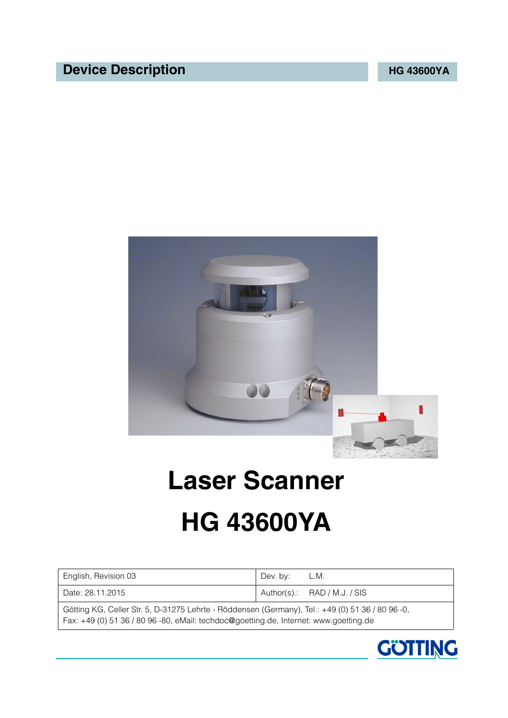## **Device Description MG** 43600YA



# <span id="page-0-1"></span>**Laser Scanner HG 43600YA**

<span id="page-0-3"></span><span id="page-0-2"></span><span id="page-0-0"></span>

| English, Revision 03<br>Dev. by:<br>L.M.                                                                                                                                                  |  |  |  |  |  |
|-------------------------------------------------------------------------------------------------------------------------------------------------------------------------------------------|--|--|--|--|--|
| $\mu$ Author(s).: RAD / M.J. / SIS<br>Date: 28.11.2015                                                                                                                                    |  |  |  |  |  |
| Götting KG, Celler Str. 5, D-31275 Lehrte - Röddensen (Germany), Tel.: +49 (0) 51 36 / 80 96 -0,<br>Fax: +49 (0) 51 36 / 80 96 -80, eMail: techdoc@goetting.de, Internet: www.goetting.de |  |  |  |  |  |

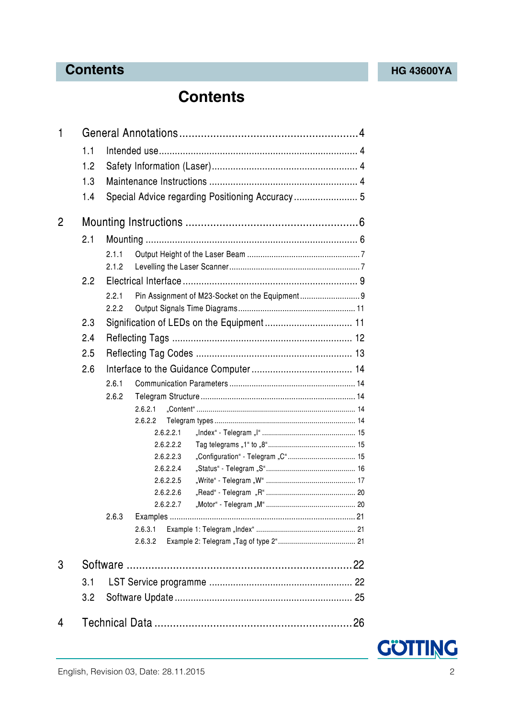## **Contents [HG 43600YA](#page-0-1)**

## **Contents**

| 1              |     |       |         |                        |                                                 |  |
|----------------|-----|-------|---------|------------------------|-------------------------------------------------|--|
|                | 1.1 |       |         |                        |                                                 |  |
|                | 1.2 |       |         |                        |                                                 |  |
|                | 1.3 |       |         |                        |                                                 |  |
|                |     |       |         |                        |                                                 |  |
|                | 1.4 |       |         |                        | Special Advice regarding Positioning Accuracy 5 |  |
| $\overline{2}$ |     |       |         |                        |                                                 |  |
|                | 2.1 |       |         |                        |                                                 |  |
|                |     | 2.1.1 |         |                        |                                                 |  |
|                |     | 2.1.2 |         |                        |                                                 |  |
|                | 2.2 |       |         |                        |                                                 |  |
|                |     | 2.2.1 |         |                        |                                                 |  |
|                |     | 2.2.2 |         |                        |                                                 |  |
|                | 2.3 |       |         |                        | Signification of LEDs on the Equipment 11       |  |
|                | 2.4 |       |         |                        |                                                 |  |
|                | 2.5 |       |         |                        |                                                 |  |
|                |     |       |         |                        |                                                 |  |
| 2.6            |     |       |         |                        |                                                 |  |
|                |     | 2.6.1 |         |                        |                                                 |  |
|                |     | 2.6.2 |         |                        |                                                 |  |
|                |     |       | 2.6.2.1 |                        |                                                 |  |
|                |     |       | 2.6.2.2 |                        |                                                 |  |
|                |     |       |         | 2.6.2.2.1              |                                                 |  |
|                |     |       |         | 2.6.2.2.2<br>2.6.2.2.3 |                                                 |  |
|                |     |       |         | 2.6.2.2.4              |                                                 |  |
|                |     |       |         | 2.6.2.2.5              |                                                 |  |
|                |     |       |         | 2.6.2.2.6              |                                                 |  |
|                |     |       |         | 2.6.2.2.7              |                                                 |  |
|                |     | 2.6.3 |         |                        |                                                 |  |
|                |     |       | 2.6.3.1 |                        |                                                 |  |
|                |     |       | 2.6.3.2 |                        |                                                 |  |
|                |     |       |         |                        |                                                 |  |
| 3              |     |       |         |                        |                                                 |  |
|                | 3.1 |       |         |                        |                                                 |  |
|                | 3.2 |       |         |                        |                                                 |  |
| 4              |     |       |         |                        |                                                 |  |
|                |     |       |         |                        |                                                 |  |

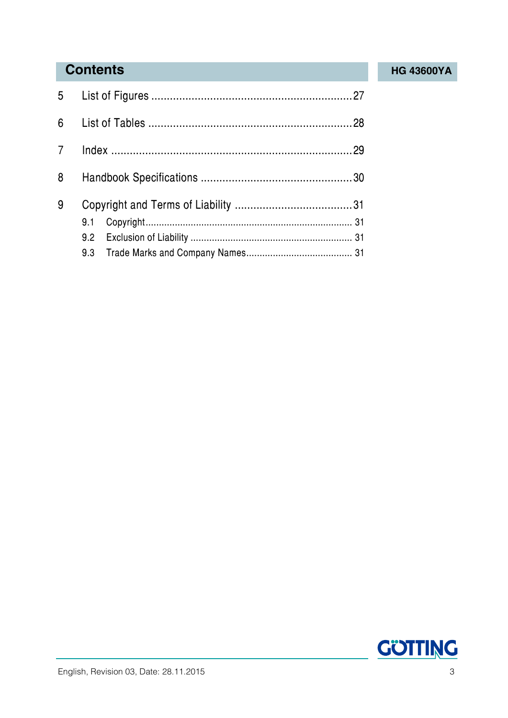## **Contents [HG 43600YA](#page-0-1)**

| 8 |     |  |
|---|-----|--|
| 9 |     |  |
|   | 9.1 |  |
|   |     |  |
|   |     |  |

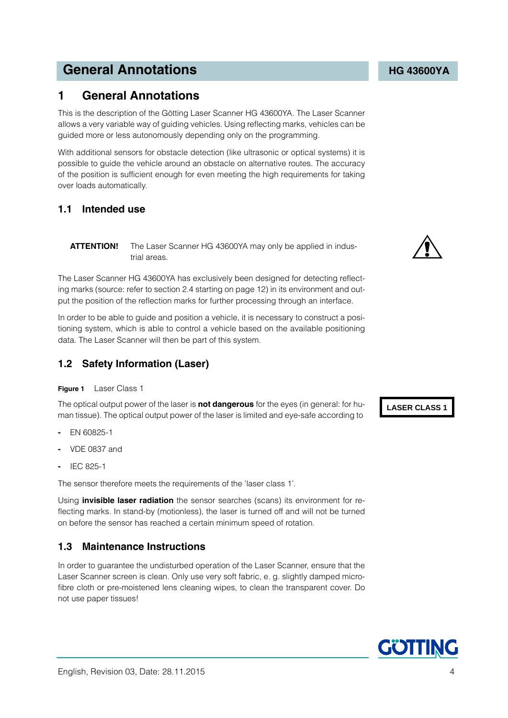## **General Annotations Constitutions [HG 43600YA](#page-0-1)**

## <span id="page-3-0"></span>**1 General Annotations**

<span id="page-3-6"></span>This is the description of the Götting Laser Scanner [HG 43600YA.](#page-0-1) The Laser Scanner allows a very variable way of guiding vehicles. Using reflecting marks, vehicles can be guided more or less autonomously depending only on the programming.

With additional sensors for obstacle detection (like ultrasonic or optical systems) it is possible to guide the vehicle around an obstacle on alternative routes. The accuracy of the position is sufficient enough for even meeting the high requirements for taking over loads automatically.

### <span id="page-3-1"></span>**1.1 Intended use**

**ATTENTION!** The Laser Scanner [HG 43600YA](#page-0-1) may only be applied in industrial areas.

The Laser Scanner [HG 43600YA](#page-0-1) has exclusively been designed for detecting reflecting marks (source: refer to section [2.4 starting on page 12](#page-11-1)) in its environment and output the position of the reflection marks for further processing through an interface.

In order to be able to guide and position a vehicle, it is necessary to construct a positioning system, which is able to control a vehicle based on the available positioning data. The Laser Scanner will then be part of this system.

### <span id="page-3-2"></span>**1.2 Safety Information (Laser)**

#### <span id="page-3-9"></span><span id="page-3-4"></span>**Figure 1** Laser Class 1

The optical output power of the laser is **not dangerous** for the eyes (in general: for human tissue). The optical output power of the laser is limited and eye-safe according to

- **-** EN 60825-1
- **-** VDE 0837 and
- **-** IEC 825-1

The sensor therefore meets the requirements of the 'laser class 1'.

Using **invisible laser radiation** the sensor searches (scans) its environment for reflecting marks. In stand-by (motionless), the laser is turned off and will not be turned on before the sensor has reached a certain minimum speed of rotation.

### <span id="page-3-3"></span>**1.3 Maintenance Instructions**

<span id="page-3-8"></span><span id="page-3-7"></span>In order to guarantee the undisturbed operation of the Laser Scanner, ensure that the Laser Scanner screen is clean. Only use very soft fabric, e. g. slightly damped microfibre cloth or pre-moistened lens cleaning wipes, to clean the transparent cover. Do not use paper tissues!

<span id="page-3-5"></span>

**LASER CLASS 1**

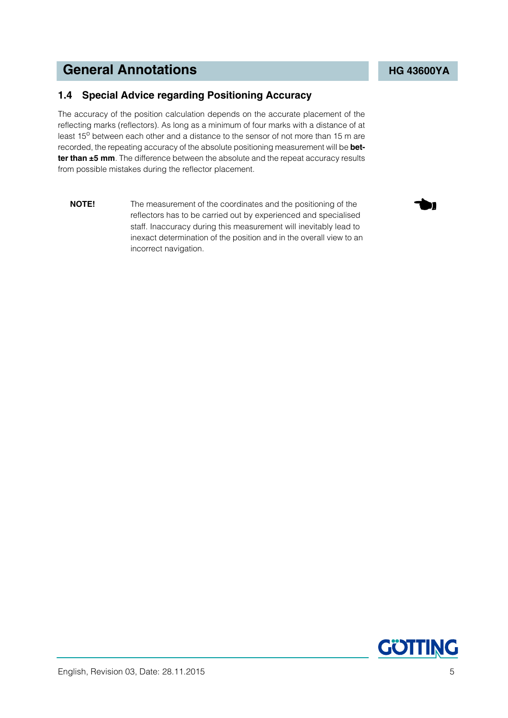## <span id="page-4-1"></span>**General Annotations Constitutions [HG 43600YA](#page-0-1)**

### <span id="page-4-0"></span>**1.4 Special Advice regarding Positioning Accuracy**

The accuracy of the position calculation depends on the accurate placement of the reflecting marks (reflectors). As long as a minimum of four marks with a distance of at least 15<sup>o</sup> between each other and a distance to the sensor of not more than 15 m are recorded, the repeating accuracy of the absolute positioning measurement will be **better than ±5 mm**. The difference between the absolute and the repeat accuracy results from possible mistakes during the reflector placement.

**NOTE!** The measurement of the coordinates and the positioning of the reflectors has to be carried out by experienced and specialised staff. Inaccuracy during this measurement will inevitably lead to inexact determination of the position and in the overall view to an incorrect navigation.

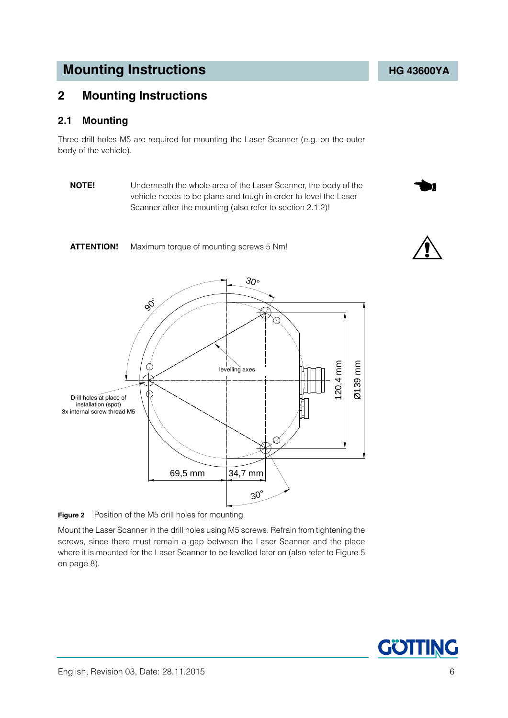## <span id="page-5-0"></span>**2 Mounting Instructions**

#### <span id="page-5-3"></span><span id="page-5-1"></span>**2.1 Mounting**

Three drill holes M5 are required for mounting the Laser Scanner (e.g. on the outer body of the vehicle).

**NOTE!** Underneath the whole area of the Laser Scanner, the body of the vehicle needs to be plane and tough in order to level the Laser Scanner after the mounting (also refer to section [2.1.2\)](#page-6-1)!







<span id="page-5-4"></span><span id="page-5-2"></span>**Figure 2** Position of the M5 drill holes for mounting

Mount the Laser Scanner in the drill holes using M5 screws. Refrain from tightening the screws, since there must remain a gap between the Laser Scanner and the place where it is mounted for the Laser Scanner to be levelled later on (also refer to [Figure 5](#page-7-0)  [on page 8](#page-7-0)).

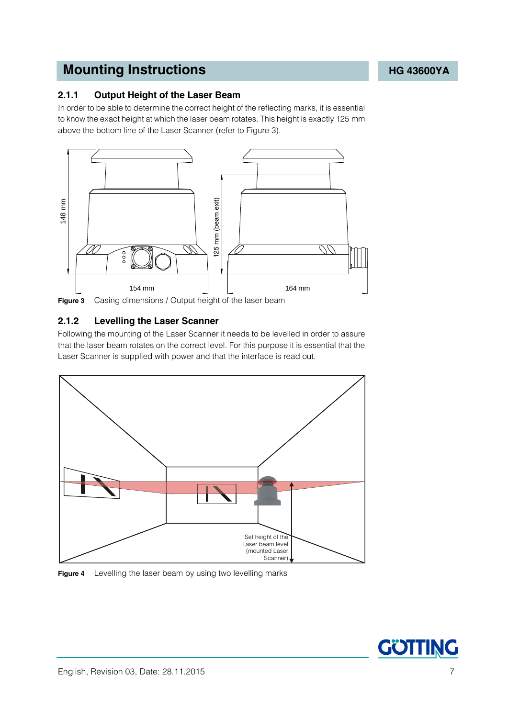### <span id="page-6-4"></span><span id="page-6-0"></span>**2.1.1 Output Height of the Laser Beam**

<span id="page-6-6"></span>In order to be able to determine the correct height of the reflecting marks, it is essential to know the exact height at which the laser beam rotates. This height is exactly 125 mm above the bottom line of the Laser Scanner (refer to [Figure 3\)](#page-6-2).



<span id="page-6-2"></span>**Figure 3** Casing dimensions / Output height of the laser beam

### <span id="page-6-5"></span><span id="page-6-1"></span>**2.1.2 Levelling the Laser Scanner**

Following the mounting of the Laser Scanner it needs to be levelled in order to assure that the laser beam rotates on the correct level. For this purpose it is essential that the Laser Scanner is supplied with power and that the interface is read out.



<span id="page-6-3"></span>

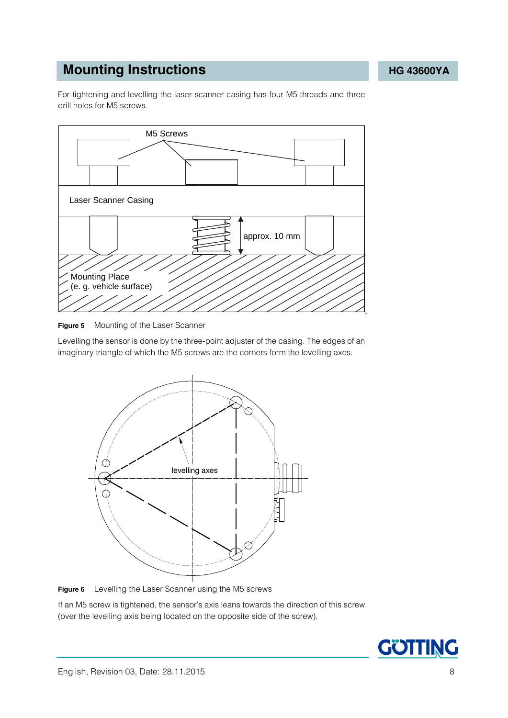For tightening and levelling the laser scanner casing has four M5 threads and three drill holes for M5 screws.



<span id="page-7-0"></span>

Levelling the sensor is done by the three-point adjuster of the casing. The edges of an imaginary triangle of which the M5 screws are the corners form the levelling axes.



<span id="page-7-1"></span>**Figure 6** Levelling the Laser Scanner using the M5 screws

If an M5 screw is tightened, the sensor's axis leans towards the direction of this screw (over the levelling axis being located on the opposite side of the screw).

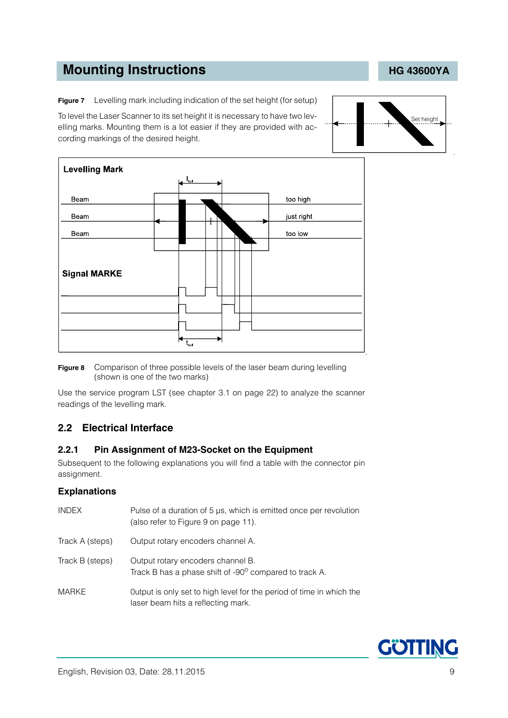<span id="page-8-2"></span>**Figure 7** Levelling mark including indication of the set height (for setup)

To level the Laser Scanner to its set height it is necessary to have two levelling marks. Mounting them is a lot easier if they are provided with according markings of the desired height.



<span id="page-8-3"></span>**Figure 8** Comparison of three possible levels of the laser beam during levelling (shown is one of the two marks)

Use the service program LST (see chapter [3.1 on page 22](#page-21-2)) to analyze the scanner readings of the levelling mark.

### <span id="page-8-0"></span>**2.2 Electrical Interface**

#### <span id="page-8-5"></span><span id="page-8-1"></span>**2.2.1 Pin Assignment of M23-Socket on the Equipment**

Subsequent to the following explanations you will find a table with the connector pin assignment.

#### **Explanations**

<span id="page-8-7"></span><span id="page-8-6"></span><span id="page-8-4"></span>

| <b>INDEX</b>    | Pulse of a duration of 5 µs, which is emitted once per revolution<br>(also refer to Figure 9 on page 11).  |
|-----------------|------------------------------------------------------------------------------------------------------------|
| Track A (steps) | Output rotary encoders channel A.                                                                          |
| Track B (steps) | Output rotary encoders channel B.<br>Track B has a phase shift of -90° compared to track A.                |
| MARKE           | Output is only set to high level for the period of time in which the<br>laser beam hits a reflecting mark. |



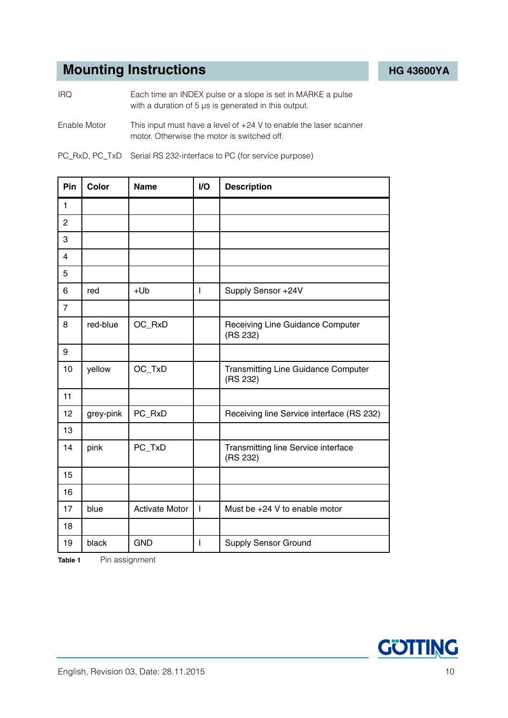IRQ Each time an INDEX pulse or a slope is set in MARKE a pulse with a duration of 5 μs is generated in this output.

Enable Motor This input must have a level of +24 V to enable the laser scanner motor. Otherwise the motor is switched off.

|  |  | PC_RxD, PC_TxD Serial RS 232-interface to PC (for service purpose) |
|--|--|--------------------------------------------------------------------|
|--|--|--------------------------------------------------------------------|

| Pin            | Color     | <b>Name</b>           | I/O            | <b>Description</b>                              |  |
|----------------|-----------|-----------------------|----------------|-------------------------------------------------|--|
| $\mathbf{1}$   |           |                       |                |                                                 |  |
| $\overline{2}$ |           |                       |                |                                                 |  |
| 3              |           |                       |                |                                                 |  |
| $\overline{4}$ |           |                       |                |                                                 |  |
| 5              |           |                       |                |                                                 |  |
| 6              | red       | $+Ub$                 | T              | Supply Sensor +24V                              |  |
| $\overline{7}$ |           |                       |                |                                                 |  |
| 8              | red-blue  | OC_RxD                |                | Receiving Line Guidance Computer<br>(RS 232)    |  |
| 9              |           |                       |                |                                                 |  |
| 10             | yellow    | OC_TxD                |                | Transmitting Line Guidance Computer<br>(RS 232) |  |
| 11             |           |                       |                |                                                 |  |
| 12             | grey-pink | PC_RxD                |                | Receiving line Service interface (RS 232)       |  |
| 13             |           |                       |                |                                                 |  |
| 14             | pink      | PC_TxD                |                | Transmitting line Service interface<br>(RS 232) |  |
| 15             |           |                       |                |                                                 |  |
| 16             |           |                       |                |                                                 |  |
| 17             | blue      | <b>Activate Motor</b> | $\overline{1}$ | Must be +24 V to enable motor                   |  |
| 18             |           |                       |                |                                                 |  |
| 19             | black     | <b>GND</b>            | I              | <b>Supply Sensor Ground</b>                     |  |

<span id="page-9-0"></span>**Table 1** Pin assignment

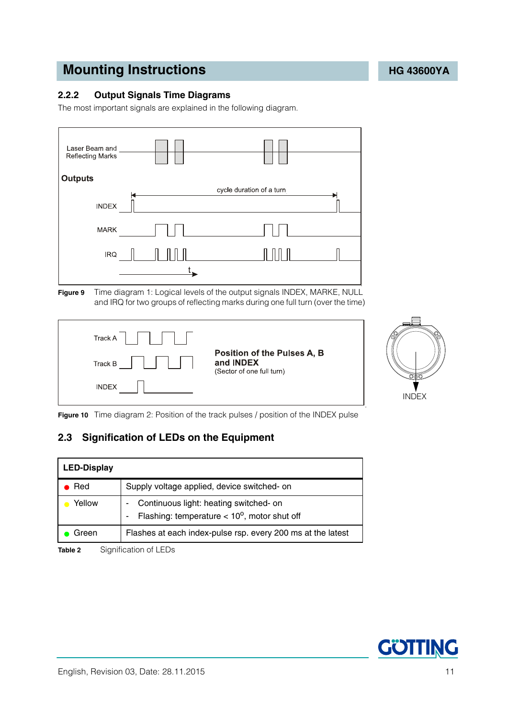### <span id="page-10-0"></span>**2.2.2 Output Signals Time Diagrams**

<span id="page-10-6"></span>The most important signals are explained in the following diagram.



<span id="page-10-2"></span>





<span id="page-10-3"></span>**Figure 10** Time diagram 2: Position of the track pulses / position of the INDEX pulse

### <span id="page-10-1"></span>**2.3 Signification of LEDs on the Equipment**

| <b>LED-Display</b> |                                                                                                 |
|--------------------|-------------------------------------------------------------------------------------------------|
| Red                | Supply voltage applied, device switched- on                                                     |
| Yellow             | Continuous light: heating switched- on<br>Flashing: temperature $< 10^{\circ}$ , motor shut off |
| Green              | Flashes at each index-pulse rsp. every 200 ms at the latest                                     |

<span id="page-10-5"></span><span id="page-10-4"></span>**Table 2** Signification of LEDs

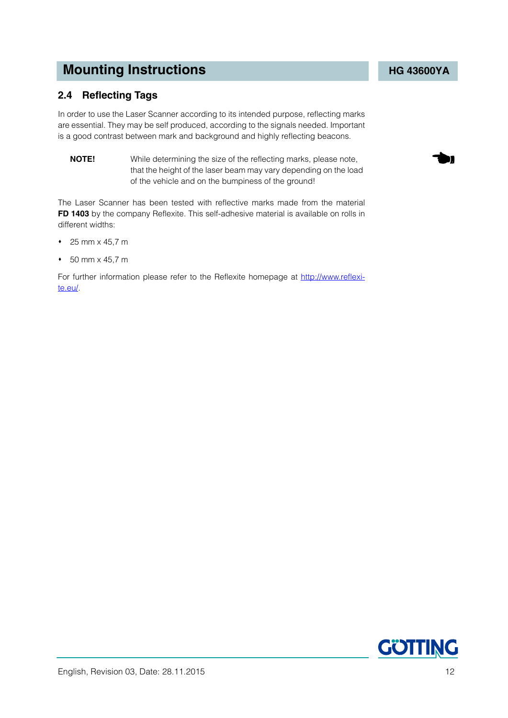### <span id="page-11-1"></span><span id="page-11-0"></span>**2.4 Reflecting Tags**

In order to use the Laser Scanner according to its intended purpose, reflecting marks are essential. They may be self produced, according to the signals needed. Important is a good contrast between mark and background and highly reflecting beacons.

<span id="page-11-2"></span>**NOTE!** While determining the size of the reflecting marks, please note, that the height of the laser beam may vary depending on the load of the vehicle and on the bumpiness of the ground!

The Laser Scanner has been tested with reflective marks made from the material **FD 1403** by the company Reflexite. This self-adhesive material is available on rolls in different widths:

- $\div$  25 mm x 45.7 m
- 50 mm x 45,7 m

For further information please refer to the Reflexite homepage at [http://www.reflexi](http://www.reflexite.eu)[te.eu/.](http://www.reflexite.eu)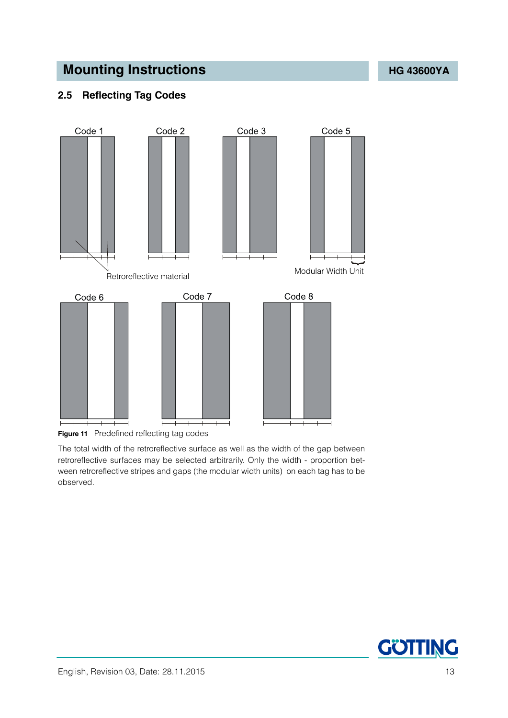### <span id="page-12-0"></span>**2.5 Reflecting Tag Codes**



<span id="page-12-1"></span>**Figure 11** Predefined reflecting tag codes

The total width of the retroreflective surface as well as the width of the gap between retroreflective surfaces may be selected arbitrarily. Only the width - proportion between retroreflective stripes and gaps (the modular width units) on each tag has to be observed.

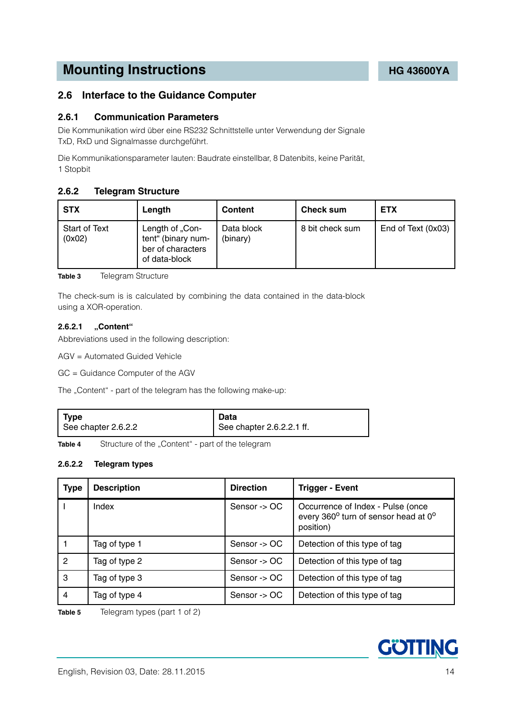### <span id="page-13-0"></span>**2.6 Interface to the Guidance Computer**

#### <span id="page-13-1"></span>**2.6.1 Communication Parameters**

Die Kommunikation wird über eine RS232 Schnittstelle unter Verwendung der Signale TxD, RxD und Signalmasse durchgeführt.

Die Kommunikationsparameter lauten: Baudrate einstellbar, 8 Datenbits, keine Parität, 1 Stopbit

#### <span id="page-13-2"></span>**2.6.2 Telegram Structure**

| <b>STX</b>              | Length                                                                      | <b>Content</b>         | <b>Check sum</b> | <b>ETX</b>         |
|-------------------------|-----------------------------------------------------------------------------|------------------------|------------------|--------------------|
| Start of Text<br>(0x02) | Length of "Con-<br>tent" (binary num-<br>ber of characters<br>of data-block | Data block<br>(binary) | 8 bit check sum  | End of Text (0x03) |

<span id="page-13-5"></span>**Table 3** [Telegram Structure](#page-13-2)

The check-sum is is calculated by combining the data contained in the data-block using a XOR-operation.

#### <span id="page-13-3"></span>**2.6.2.1 "Content"**

Abbreviations used in the following description:

AGV = Automated Guided Vehicle

GC = Guidance Computer of the AGV

The "Content" - part of the telegram has the following make-up:

| Type                | Data                      |
|---------------------|---------------------------|
| See chapter 2.6.2.2 | See chapter 2.6.2.2.1 ff. |

<span id="page-13-6"></span>Table 4 Structure of the "Content" - part of the telegram

#### <span id="page-13-4"></span>**2.6.2.2 Telegram types**

| <b>Type</b> | <b>Description</b> | <b>Direction</b> | <b>Trigger - Event</b>                                                                 |
|-------------|--------------------|------------------|----------------------------------------------------------------------------------------|
|             | Index              | Sensor -> OC     | Occurrence of Index - Pulse (once<br>every 360° turn of sensor head at 0°<br>position) |
|             | Tag of type 1      | Sensor -> OC     | Detection of this type of tag                                                          |
| 2           | Tag of type 2      | Sensor -> OC     | Detection of this type of tag                                                          |
| 3           | Tag of type 3      | Sensor -> OC     | Detection of this type of tag                                                          |
| 4           | Tag of type 4      | Sensor -> OC     | Detection of this type of tag                                                          |

<span id="page-13-7"></span>**Table 5** Telegram types (part 1 of 2)

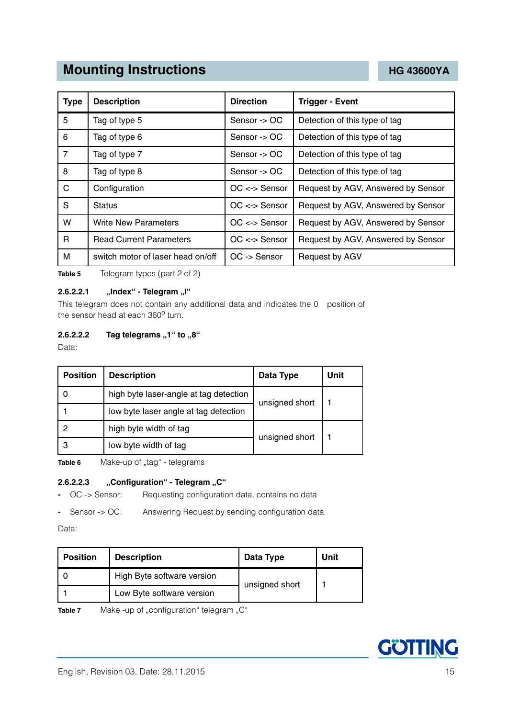| <b>Type</b>    | <b>Description</b>                | <b>Direction</b>         | <b>Trigger - Event</b>             |
|----------------|-----------------------------------|--------------------------|------------------------------------|
| 5              | Tag of type 5                     | Sensor -> OC             | Detection of this type of tag      |
| 6              | Tag of type 6                     | Sensor $\rightarrow$ OC  | Detection of this type of tag      |
| $\overline{7}$ | Tag of type 7                     | Sensor -> OC             | Detection of this type of tag      |
| 8              | Tag of type 8                     | Sensor $\rightarrow$ OC  | Detection of this type of tag      |
| C              | Configuration                     | $OC \leftarrow >$ Sensor | Request by AGV, Answered by Sensor |
| S              | <b>Status</b>                     | $OC \leftarrow >$ Sensor | Request by AGV, Answered by Sensor |
| W              | <b>Write New Parameters</b>       | $OC \leftarrow >$ Sensor | Request by AGV, Answered by Sensor |
| R              | <b>Read Current Parameters</b>    | $OC \leftarrow >$ Sensor | Request by AGV, Answered by Sensor |
| М              | switch motor of laser head on/off | $OC \rightarrow$ Sensor  | Request by AGV                     |

**Table 5** Telegram types (part 2 of 2)

#### <span id="page-14-0"></span>**2.6.2.2.1** "Index" - Telegram "I"

This telegram does not contain any additional data and indicates the 0 position of the sensor head at each 360° turn.

#### <span id="page-14-1"></span>**2.6.2.2.2** Tag telegrams "1" to "8"

Data:

| <b>Position</b> | <b>Description</b>                                       | Data Type      | Unit |
|-----------------|----------------------------------------------------------|----------------|------|
|                 | high byte laser-angle at tag detection<br>unsigned short |                |      |
|                 | low byte laser angle at tag detection                    |                |      |
|                 | high byte width of tag                                   | unsigned short |      |
| 3               | low byte width of tag                                    |                |      |

<span id="page-14-3"></span>Table 6 Make-up of "tag" - telegrams

#### <span id="page-14-2"></span>**2.6.2.2.3** .Configuration" - Telegram "C"

**-** OC -> Sensor: Requesting configuration data, contains no data

**-** Sensor -> OC: Answering Request by sending configuration data

Data:

| <b>Position</b> | <b>Description</b>         | Data Type      | Unit |
|-----------------|----------------------------|----------------|------|
|                 | High Byte software version |                |      |
|                 | Low Byte software version  | unsigned short |      |

<span id="page-14-4"></span>Table 7 Make -up of "configuration" telegram "C"

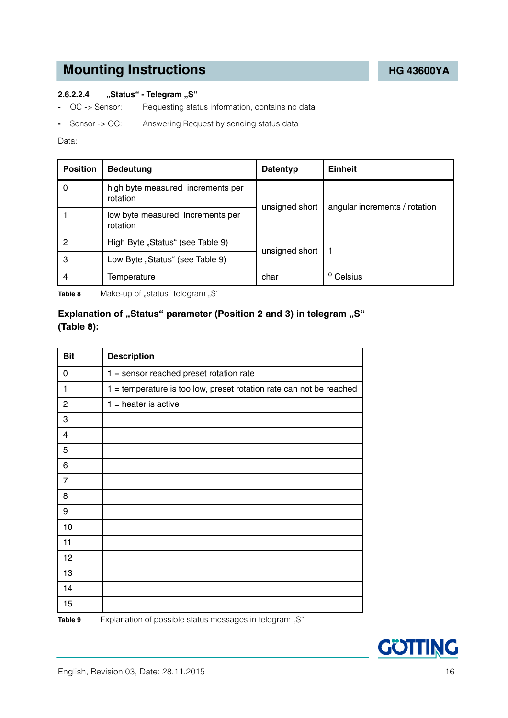#### <span id="page-15-0"></span>**2.6.2.2.4** "Status" - Telegram "S"

- **-** OC -> Sensor: Requesting status information, contains no data
- **-** Sensor -> OC: Answering Request by sending status data

#### Data:

| <b>Position</b> | <b>Bedeutung</b>                              | <b>Datentyp</b> | Einheit                       |  |
|-----------------|-----------------------------------------------|-----------------|-------------------------------|--|
| 0               | high byte measured increments per<br>rotation | unsigned short  | angular increments / rotation |  |
|                 | low byte measured increments per<br>rotation  |                 |                               |  |
| 2               | High Byte "Status" (see Table 9)              | unsigned short  |                               |  |
| 3               | Low Byte "Status" (see Table 9)               |                 |                               |  |
| 4               | Temperature                                   | char            | <sup>o</sup> Celsius          |  |

<span id="page-15-2"></span>Table 8 Make-up of "status" telegram "S"

### **Explanation of "Status" parameter (Position 2 and 3) in telegram "S" ([Table 8\)](#page-15-2):**

<span id="page-15-1"></span>

| <b>Bit</b>     | <b>Description</b>                                                  |
|----------------|---------------------------------------------------------------------|
| 0              | $1 =$ sensor reached preset rotation rate                           |
| 1              | 1 = temperature is too low, preset rotation rate can not be reached |
| $\overline{c}$ | $1 =$ heater is active                                              |
| 3              |                                                                     |
| 4              |                                                                     |
| 5              |                                                                     |
| 6              |                                                                     |
| $\overline{7}$ |                                                                     |
| 8              |                                                                     |
| 9              |                                                                     |
| 10             |                                                                     |
| 11             |                                                                     |
| 12             |                                                                     |
| 13             |                                                                     |
| 14             |                                                                     |
| 15             |                                                                     |
| Table 9        | Explanation of possible status messages in telegram "S"             |

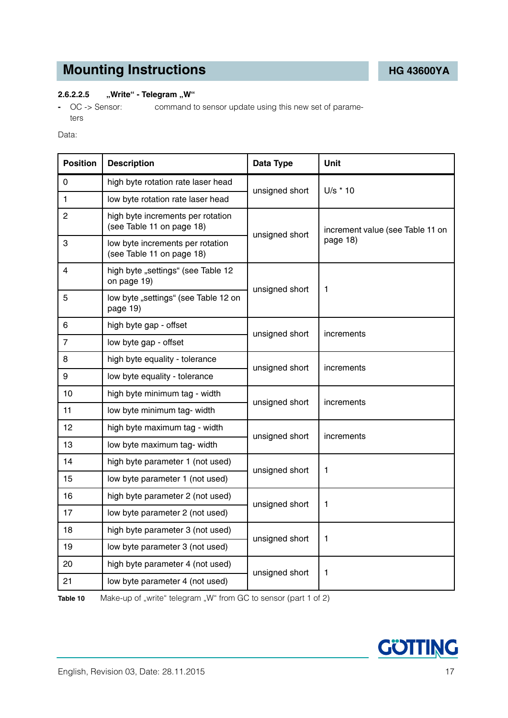#### <span id="page-16-0"></span>**2.6.2.2.5** "Write" - Telegram "W"

**-** OC -> Sensor: command to sensor update using this new set of parameters

#### Data:

| <b>Position</b> | <b>Description</b>                                             | Data Type                        | Unit       |  |
|-----------------|----------------------------------------------------------------|----------------------------------|------------|--|
| $\Omega$        | high byte rotation rate laser head                             | unsigned short                   | $U/s * 10$ |  |
| 1               | low byte rotation rate laser head                              |                                  |            |  |
| 2               | high byte increments per rotation<br>(see Table 11 on page 18) | increment value (see Table 11 on |            |  |
| 3               | low byte increments per rotation<br>(see Table 11 on page 18)  | unsigned short                   | page 18)   |  |
| 4               | high byte "settings" (see Table 12<br>on page 19)              |                                  |            |  |
| 5               | low byte "settings" (see Table 12 on<br>page 19)               | unsigned short                   | 1          |  |
| 6               | high byte gap - offset                                         | unsigned short                   | increments |  |
| $\overline{7}$  | low byte gap - offset                                          |                                  |            |  |
| 8               | high byte equality - tolerance                                 | unsigned short                   | increments |  |
| 9               | low byte equality - tolerance                                  |                                  |            |  |
| 10              | high byte minimum tag - width                                  | unsigned short                   | increments |  |
| 11              | low byte minimum tag- width                                    |                                  |            |  |
| 12              | high byte maximum tag - width                                  | unsigned short                   | increments |  |
| 13              | low byte maximum tag- width                                    |                                  |            |  |
| 14              | high byte parameter 1 (not used)                               | unsigned short                   | 1          |  |
| 15              | low byte parameter 1 (not used)                                |                                  |            |  |
| 16              | high byte parameter 2 (not used)                               | unsigned short                   |            |  |
| 17              | low byte parameter 2 (not used)                                |                                  | 1          |  |
| 18              | high byte parameter 3 (not used)                               |                                  |            |  |
| 19              | low byte parameter 3 (not used)                                | unsigned short                   | 1          |  |
| 20              | high byte parameter 4 (not used)                               | unsigned short                   | 1          |  |
| 21              | low byte parameter 4 (not used)                                |                                  |            |  |

<span id="page-16-1"></span>Table 10 Make-up of "write" telegram "W" from GC to sensor (part 1 of 2)

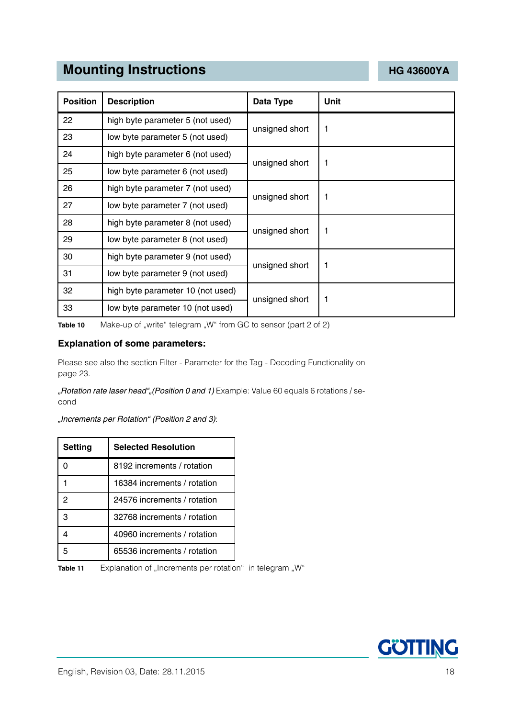| <b>Position</b> | <b>Description</b>                | Data Type      | Unit |
|-----------------|-----------------------------------|----------------|------|
| 22              | high byte parameter 5 (not used)  | unsigned short | 1    |
| 23              | low byte parameter 5 (not used)   |                |      |
| 24              | high byte parameter 6 (not used)  |                |      |
| 25              | low byte parameter 6 (not used)   | unsigned short | 1    |
| 26              | high byte parameter 7 (not used)  | unsigned short | 1    |
| 27              | low byte parameter 7 (not used)   |                |      |
| 28              | high byte parameter 8 (not used)  | unsigned short | 1    |
| 29              | low byte parameter 8 (not used)   |                |      |
| 30              | high byte parameter 9 (not used)  | unsigned short | 1    |
| 31              | low byte parameter 9 (not used)   |                |      |
| 32              | high byte parameter 10 (not used) | unsigned short | 1    |
| 33              | low byte parameter 10 (not used)  |                |      |

**Table 10** Make-up of "write" telegram "W" from GC to sensor (part 2 of 2)

#### **Explanation of some parameters:**

Please see also the sectio[n Filter - Parameter for the Tag - Decoding Functionality on](#page-22-0)  [page 23](#page-22-0).

*"Rotation rate laser head""(Position 0 and 1)* Example: Value 60 equals 6 rotations / second

*"Increments per Rotation" (Position 2 and 3)*:

| <b>Setting</b> | <b>Selected Resolution</b>  |
|----------------|-----------------------------|
|                | 8192 increments / rotation  |
|                | 16384 increments / rotation |
| 2              | 24576 increments / rotation |
|                | 32768 increments / rotation |
|                | 40960 increments / rotation |
|                | 65536 increments / rotation |

<span id="page-17-0"></span>Table 11 Explanation of "Increments per rotation" in telegram "W"

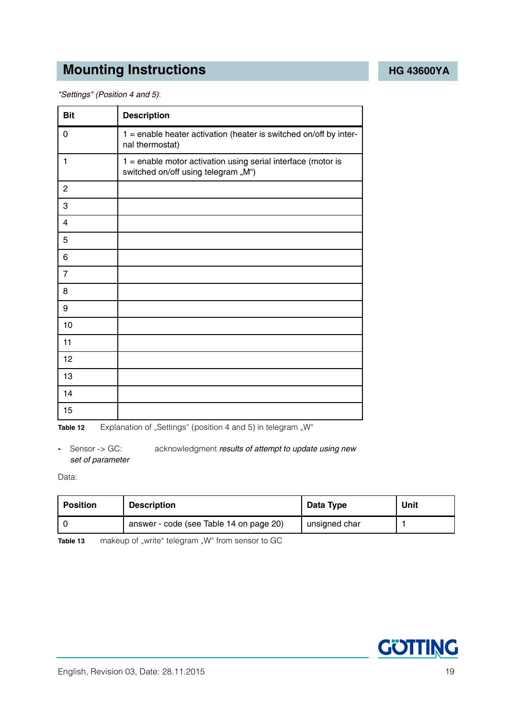*"Settings" (Position 4 and 5)*:

| <b>Bit</b>     | <b>Description</b>                                                                                  |
|----------------|-----------------------------------------------------------------------------------------------------|
| 0              | $1$ = enable heater activation (heater is switched on/off by inter-<br>nal thermostat)              |
| 1              | 1 = enable motor activation using serial interface (motor is<br>switched on/off using telegram "M") |
| $\overline{c}$ |                                                                                                     |
| 3              |                                                                                                     |
| $\overline{4}$ |                                                                                                     |
| 5              |                                                                                                     |
| 6              |                                                                                                     |
| $\overline{7}$ |                                                                                                     |
| 8              |                                                                                                     |
| 9              |                                                                                                     |
| 10             |                                                                                                     |
| 11             |                                                                                                     |
| 12             |                                                                                                     |
| 13             |                                                                                                     |
| 14             |                                                                                                     |
| 15             |                                                                                                     |

<span id="page-18-0"></span>**Table 12** Explanation of "Settings" (position 4 and 5) in telegram "W"

**-** Sensor -> GC: acknowledgment *results of attempt to update using new set of parameter*

Data:

| <b>Position</b> | <b>Description</b>                      | Data Type     | Unit |
|-----------------|-----------------------------------------|---------------|------|
|                 | answer - code (see Table 14 on page 20) | unsigned char |      |

<span id="page-18-1"></span>**Table 13** makeup of "write" telegram "W" from sensor to GC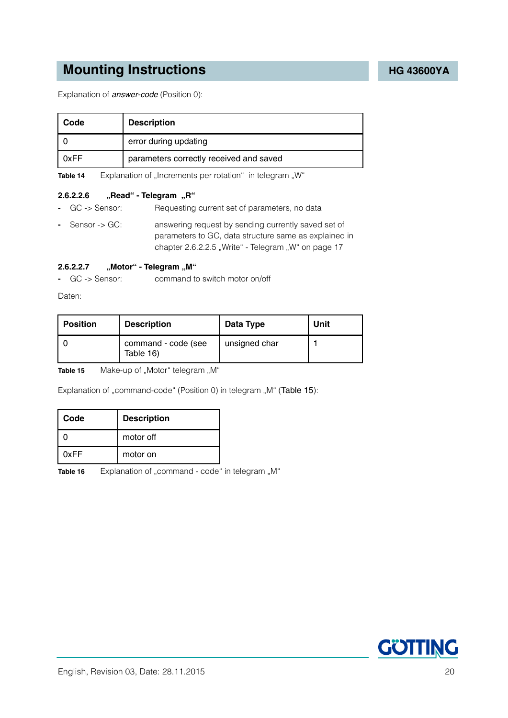Explanation of *answer-code* (Position 0):

| Code | <b>Description</b>                      |
|------|-----------------------------------------|
|      | error during updating                   |
| 0xFF | parameters correctly received and saved |

<span id="page-19-2"></span>**Table 14** Explanation of "Increments per rotation" in telegram "W"

#### <span id="page-19-0"></span>**2.6.2.2.6** "Read" - Telegram "R"

- **-** GC -> Sensor: Requesting current set of parameters, no data
- **-** Sensor -> GC: answering request by sending currently saved set of parameters to GC, data structure same as explained in chapter [2.6.2.2.5 "Write" - Telegram "W" on page 17](#page-16-0)

#### <span id="page-19-1"></span>**2.6.2.2.7 "Motor" - Telegram "M"**

**-** GC -> Sensor: command to switch motor on/off

Daten:

| <b>Position</b> | <b>Description</b>               | Data Type     | Unit |
|-----------------|----------------------------------|---------------|------|
|                 | command - code (see<br>Table 16) | unsigned char |      |

<span id="page-19-4"></span>Table 15 Make-up of "Motor" telegram "M"

Explanation of "command-code" (Position 0) in telegram "M" ([Table 15](#page-19-4)):

| Code | <b>Description</b> |
|------|--------------------|
|      | motor off          |
| 0xFF | motor on           |

<span id="page-19-3"></span>**Table 16** Explanation of "command - code" in telegram "M"

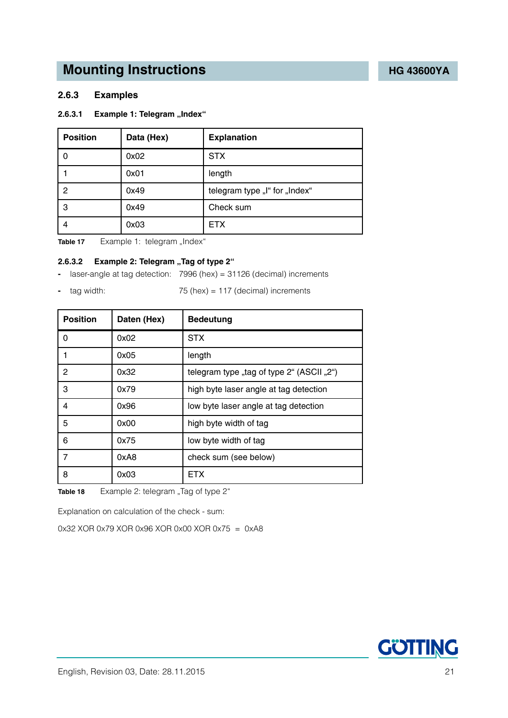#### <span id="page-20-0"></span>**2.6.3 Examples**

#### <span id="page-20-1"></span>**2.6.3.1 Example 1: Telegram "Index"**

| <b>Position</b> | Data (Hex) | <b>Explanation</b>            |
|-----------------|------------|-------------------------------|
|                 | 0x02       | <b>STX</b>                    |
|                 | 0x01       | length                        |
| 2               | 0x49       | telegram type "I" for "Index" |
| 3               | 0x49       | Check sum                     |
|                 | 0x03       | <b>ETX</b>                    |

<span id="page-20-3"></span>Table 17 Example 1: telegram "Index"

#### <span id="page-20-2"></span>**2.6.3.2** Example 2: Telegram "Tag of type 2"

**-** laser-angle at tag detection: 7996 (hex) = 31126 (decimal) increments

**-** tag width: 75 (hex) = 117 (decimal) increments

- **Position** | Daten (Hex) | Bedeutung 0 0x02 STX 1 0x05 length 2 0x32 belogram type "tag of type 2" (ASCII "2") 3 0x79 high byte laser angle at tag detection 4 0x96 low byte laser angle at tag detection 5 0x00 high byte width of tag 6 0x75 low byte width of tag 7 0xA8 check sum (see below) 8 | 0x03 | ETX
- <span id="page-20-4"></span>**Table 18** Example 2: telegram "Tag of type 2"

Explanation on calculation of the check - sum:

0x32 XOR 0x79 XOR 0x96 XOR 0x00 XOR 0x75 = 0xA8

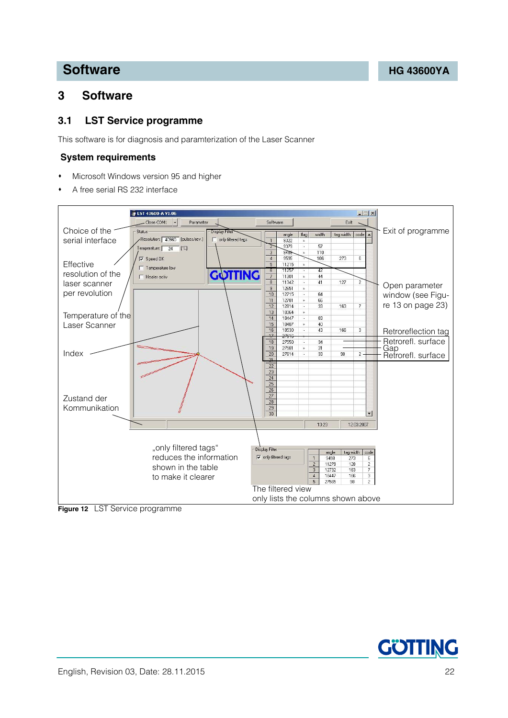## <span id="page-21-0"></span>**3 Software**

### <span id="page-21-4"></span><span id="page-21-2"></span><span id="page-21-1"></span>**3.1 LST Service programme**

This software is for diagnosis and paramterization of the Laser Scanner

#### **System requirements**

- Microsoft Windows version 95 and higher
- A free serial RS 232 interface



<span id="page-21-3"></span>**Figure 12** [LST Service programme](#page-21-1)

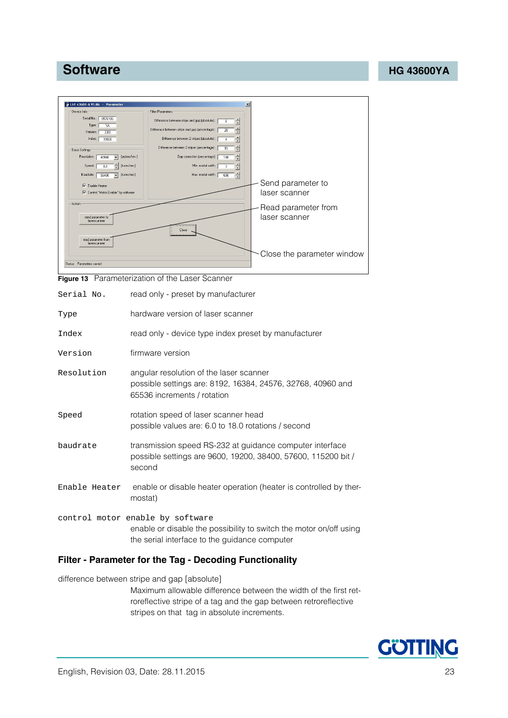

<span id="page-22-1"></span>

|  | <b>Figure 13</b> Parameterization of the Laser Scanner |  |  |  |
|--|--------------------------------------------------------|--|--|--|
|--|--------------------------------------------------------|--|--|--|

<span id="page-22-3"></span><span id="page-22-2"></span>

| Serial No.    | read only - preset by manufacturer                                                                                                                      |
|---------------|---------------------------------------------------------------------------------------------------------------------------------------------------------|
| Type          | hardware version of laser scanner                                                                                                                       |
| Index         | read only - device type index preset by manufacturer                                                                                                    |
| Version       | firmware version                                                                                                                                        |
| Resolution    | angular resolution of the laser scanner<br>possible settings are: 8192, 16384, 24576, 32768, 40960 and<br>65536 increments / rotation                   |
| Speed         | rotation speed of laser scanner head<br>possible values are: 6.0 to 18.0 rotations / second                                                             |
| baudrate      | transmission speed RS-232 at guidance computer interface<br>possible settings are 9600, 19200, 38400, 57600, 115200 bit /<br>second                     |
| Enable Heater | enable or disable heater operation (heater is controlled by ther-<br>mostat)                                                                            |
|               | control motor enable by software<br>enable or disable the possibility to switch the motor on/off using<br>the serial interface to the guidance computer |
|               |                                                                                                                                                         |

### <span id="page-22-0"></span>**Filter - Parameter for the Tag - Decoding Functionality**

difference between stripe and gap [absolute]

Maximum allowable difference between the width of the first retroreflective stripe of a tag and the gap between retroreflective stripes on that tag in absolute increments.

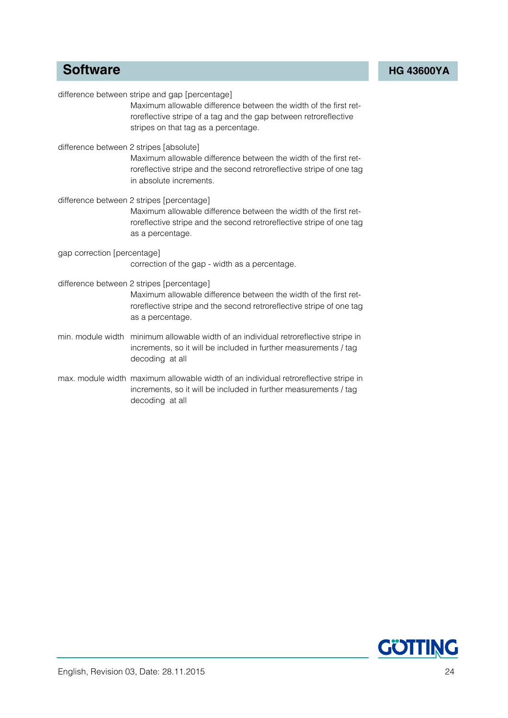|                             | difference between stripe and gap [percentage]<br>Maximum allowable difference between the width of the first ret-<br>roreflective stripe of a tag and the gap between retroreflective<br>stripes on that tag as a percentage. |
|-----------------------------|--------------------------------------------------------------------------------------------------------------------------------------------------------------------------------------------------------------------------------|
|                             | difference between 2 stripes [absolute]<br>Maximum allowable difference between the width of the first ret-<br>roreflective stripe and the second retroreflective stripe of one tag<br>in absolute increments.                 |
|                             | difference between 2 stripes [percentage]<br>Maximum allowable difference between the width of the first ret-<br>roreflective stripe and the second retroreflective stripe of one tag<br>as a percentage.                      |
| gap correction [percentage] | correction of the gap - width as a percentage.                                                                                                                                                                                 |
|                             | difference between 2 stripes [percentage]<br>Maximum allowable difference between the width of the first ret-<br>roreflective stripe and the second retroreflective stripe of one tag<br>as a percentage.                      |
|                             | min. module width minimum allowable width of an individual retroreflective stripe in<br>increments, so it will be included in further measurements / tag<br>decoding at all                                                    |
|                             | max. module width maximum allowable width of an individual retroreflective stripe in<br>increments, so it will be included in further measurements / tag<br>decoding at all                                                    |

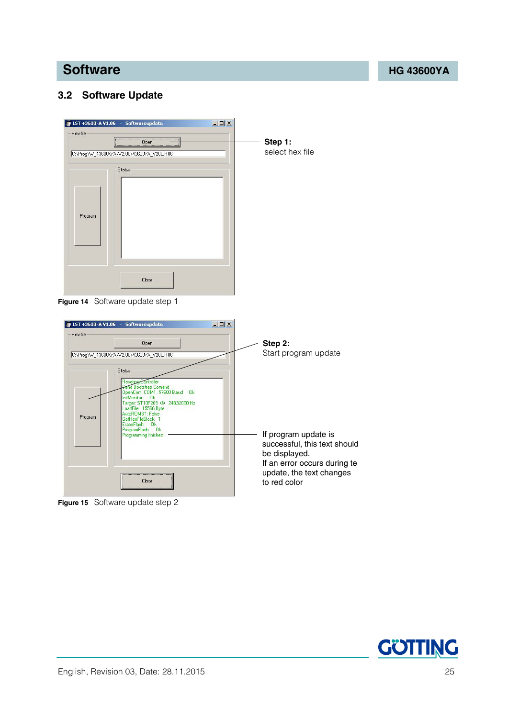### <span id="page-24-3"></span><span id="page-24-0"></span>**3.2 Software Update**



<span id="page-24-1"></span>**Figure 14** Software update step 1



<span id="page-24-2"></span>**Figure 15** Software update step 2

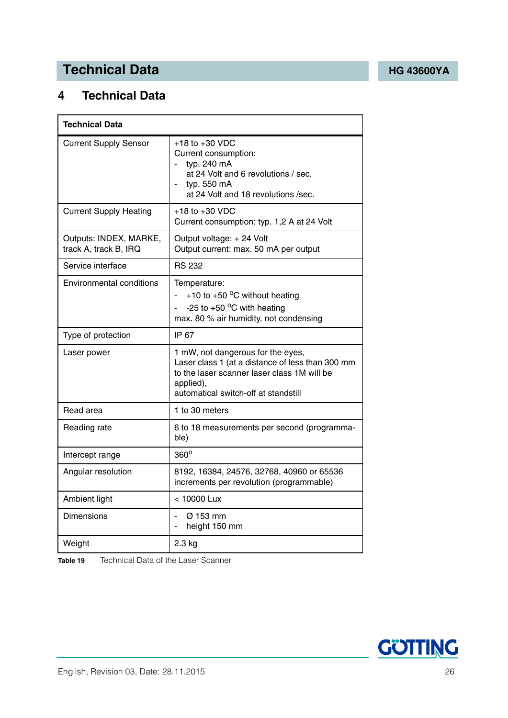## **Technical Data [HG 43600YA](#page-0-1)**

## <span id="page-25-0"></span>**4 Technical Data**

| <b>Technical Data</b>                           |                                                                                                                                                                                           |  |  |  |
|-------------------------------------------------|-------------------------------------------------------------------------------------------------------------------------------------------------------------------------------------------|--|--|--|
| <b>Current Supply Sensor</b>                    | $+18$ to $+30$ VDC<br>Current consumption:<br>typ. 240 mA<br>at 24 Volt and 6 revolutions / sec.<br>typ. 550 mA<br>at 24 Volt and 18 revolutions / sec.                                   |  |  |  |
| <b>Current Supply Heating</b>                   | $+18$ to $+30$ VDC<br>Current consumption: typ. 1,2 A at 24 Volt                                                                                                                          |  |  |  |
| Outputs: INDEX, MARKE,<br>track A, track B, IRQ | Output voltage: +24 Volt<br>Output current: max. 50 mA per output                                                                                                                         |  |  |  |
| Service interface                               | <b>RS 232</b>                                                                                                                                                                             |  |  |  |
| <b>Environmental conditions</b>                 | Temperature:<br>+10 to +50 $\mathrm{^{\circ}C}$ without heating<br>-25 to +50 $\,^{\circ}$ C with heating<br>max. 80 % air humidity, not condensing                                       |  |  |  |
| Type of protection                              | IP 67                                                                                                                                                                                     |  |  |  |
| Laser power                                     | 1 mW, not dangerous for the eyes,<br>Laser class 1 (at a distance of less than 300 mm<br>to the laser scanner laser class 1M will be<br>applied),<br>automatical switch-off at standstill |  |  |  |
| Read area                                       | 1 to 30 meters                                                                                                                                                                            |  |  |  |
| Reading rate                                    | 6 to 18 measurements per second (programma-<br>ble)                                                                                                                                       |  |  |  |
| Intercept range                                 | $360^\circ$                                                                                                                                                                               |  |  |  |
| Angular resolution                              | 8192, 16384, 24576, 32768, 40960 or 65536<br>increments per revolution (programmable)                                                                                                     |  |  |  |
| Ambient light                                   | < 10000 Lux                                                                                                                                                                               |  |  |  |
| <b>Dimensions</b>                               | $\varnothing$ 153 mm<br>height 150 mm<br>÷                                                                                                                                                |  |  |  |
| Weight                                          | $2.3$ kg                                                                                                                                                                                  |  |  |  |

<span id="page-25-2"></span><span id="page-25-1"></span>**Table 19** [Technical Data](#page-25-0) of the Laser Scanner

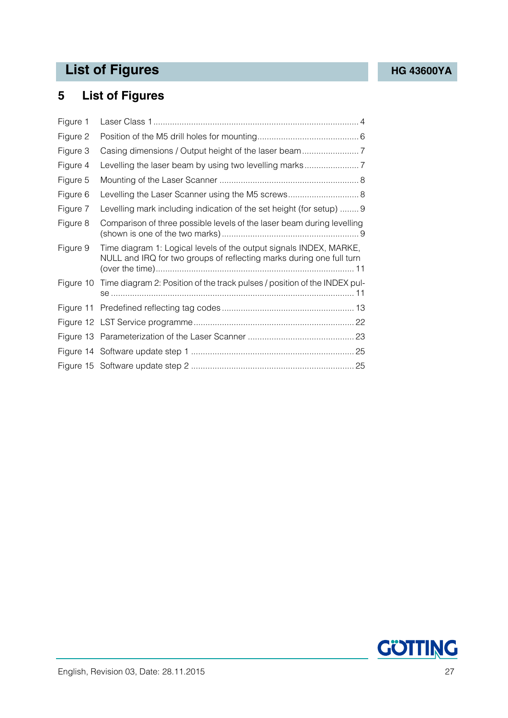## List of Figures **[HG 43600YA](#page-0-1)**

## <span id="page-26-0"></span>**5 List of Figures**

| Figure 1  |                                                                                                                                            |
|-----------|--------------------------------------------------------------------------------------------------------------------------------------------|
| Figure 2  |                                                                                                                                            |
| Figure 3  |                                                                                                                                            |
| Figure 4  |                                                                                                                                            |
| Figure 5  |                                                                                                                                            |
| Figure 6  | Levelling the Laser Scanner using the M5 screws 8                                                                                          |
| Figure 7  | Levelling mark including indication of the set height (for setup)  9                                                                       |
| Figure 8  | Comparison of three possible levels of the laser beam during levelling                                                                     |
| Figure 9  | Time diagram 1: Logical levels of the output signals INDEX, MARKE,<br>NULL and IRQ for two groups of reflecting marks during one full turn |
| Figure 10 | Time diagram 2: Position of the track pulses / position of the INDEX pul-                                                                  |
|           |                                                                                                                                            |
|           |                                                                                                                                            |
|           |                                                                                                                                            |
|           |                                                                                                                                            |
|           |                                                                                                                                            |

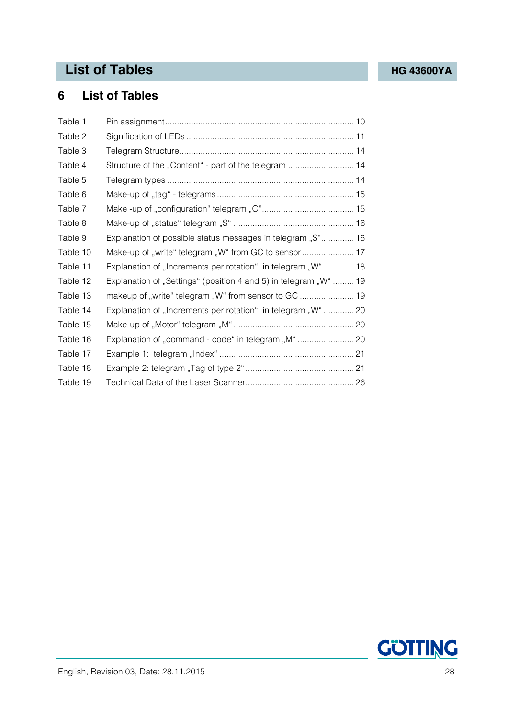## **List of Tables [HG 43600YA](#page-0-1)**

## <span id="page-27-0"></span>**6 List of Tables**

| Table 1  |                                                                  |  |
|----------|------------------------------------------------------------------|--|
| Table 2  |                                                                  |  |
| Table 3  |                                                                  |  |
| Table 4  | Structure of the "Content" - part of the telegram  14            |  |
| Table 5  |                                                                  |  |
| Table 6  |                                                                  |  |
| Table 7  |                                                                  |  |
| Table 8  |                                                                  |  |
| Table 9  | Explanation of possible status messages in telegram "S" 16       |  |
| Table 10 | Make-up of "write" telegram "W" from GC to sensor  17            |  |
| Table 11 | Explanation of "Increments per rotation" in telegram "W"  18     |  |
| Table 12 | Explanation of "Settings" (position 4 and 5) in telegram "W"  19 |  |
| Table 13 |                                                                  |  |
| Table 14 | Explanation of "Increments per rotation" in telegram "W"  20     |  |
| Table 15 |                                                                  |  |
| Table 16 |                                                                  |  |
| Table 17 |                                                                  |  |
| Table 18 |                                                                  |  |
| Table 19 |                                                                  |  |

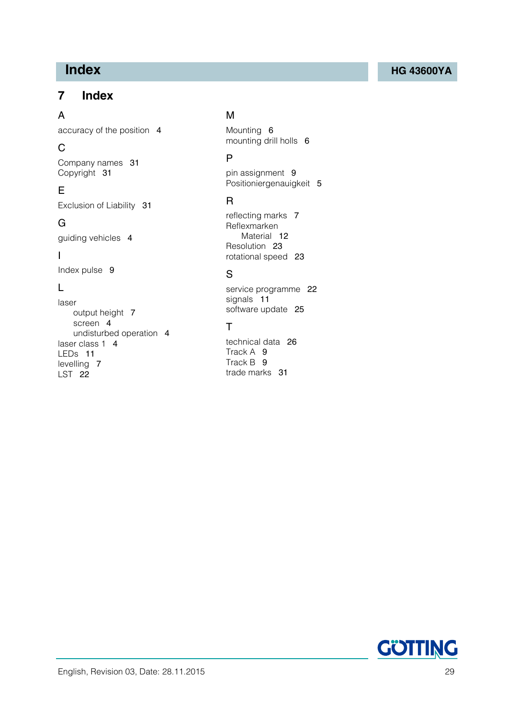## <span id="page-28-0"></span>**7 Index**

### A

accuracy of the position [4](#page-3-5)

## C

Company names [31](#page-30-4) Copyright [31](#page-30-5)

## E

Exclusion of Liability [31](#page-30-6)

## G

guiding vehicles [4](#page-3-6)

### I

Index pulse [9](#page-8-4)

## L

laser output height [7](#page-6-4) screen [4](#page-3-7) undisturbed operation [4](#page-3-8) laser class 1 [4](#page-3-9) LEDs [11](#page-10-5) levelling [7](#page-6-5) LST [22](#page-21-4)

### M

Mounting [6](#page-5-3) mounting drill holls [6](#page-5-4)

## P

pin assignment [9](#page-8-5) Positioniergenauigkeit [5](#page-4-1)

## R

reflecting marks [7](#page-6-6) Reflexmarken Material [12](#page-11-2) Resolution [23](#page-22-2) rotational speed [23](#page-22-3)

## S

service programme [22](#page-21-2) signals [11](#page-10-6) software update [25](#page-24-3)

## T

technical data [26](#page-25-2) Track A [9](#page-8-6) Track B [9](#page-8-7) trade marks [31](#page-30-7)

## **Index [HG 43600YA](#page-0-1)**

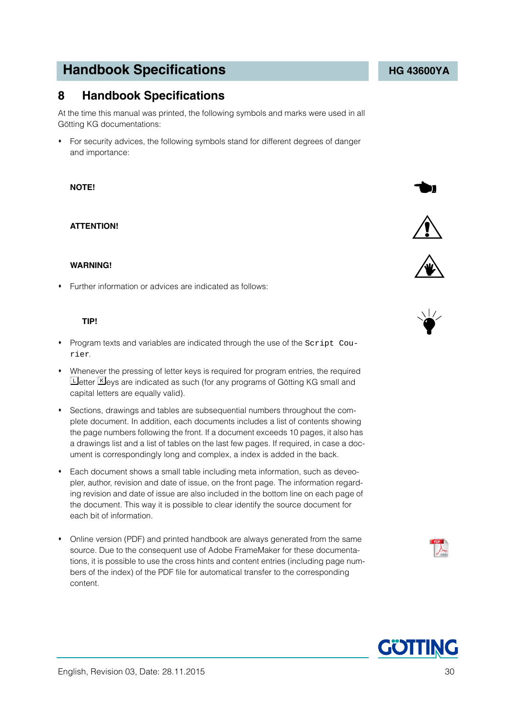## **Handbook Specifications Handbook Specifications**

## <span id="page-29-0"></span>**8 Handbook Specifications**

At the time this manual was printed, the following symbols and marks were used in all Götting KG documentations:

 For security advices, the following symbols stand for different degrees of danger and importance:

#### **NOTE!**

#### **ATTENTION!**

#### **WARNING!**

Further information or advices are indicated as follows:

#### **TIP!**

- Program texts and variables are indicated through the use of the Script Courier.
- Whenever the pressing of letter keys is required for program entries, the required **Letter K**eys are indicated as such (for any programs of Götting KG small and capital letters are equally valid).
- Sections, drawings and tables are subsequential numbers throughout the complete document. In addition, each documents includes a list of contents showing the page numbers following the front. If a document exceeds 10 pages, it also has a drawings list and a list of tables on the last few pages. If required, in case a document is correspondingly long and complex, a index is added in the back.
- Each document shows a small table including meta information, such as deveopler, author, revision and date of issue, on the front page. The information regarding revision and date of issue are also included in the bottom line on each page of the document. This way it is possible to clear identify the source document for each bit of information.
- Online version (PDF) and printed handbook are always generated from the same source. Due to the consequent use of Adobe FrameMaker for these documentations, it is possible to use the cross hints and content entries (including page numbers of the index) of the PDF file for automatical transfer to the corresponding content.